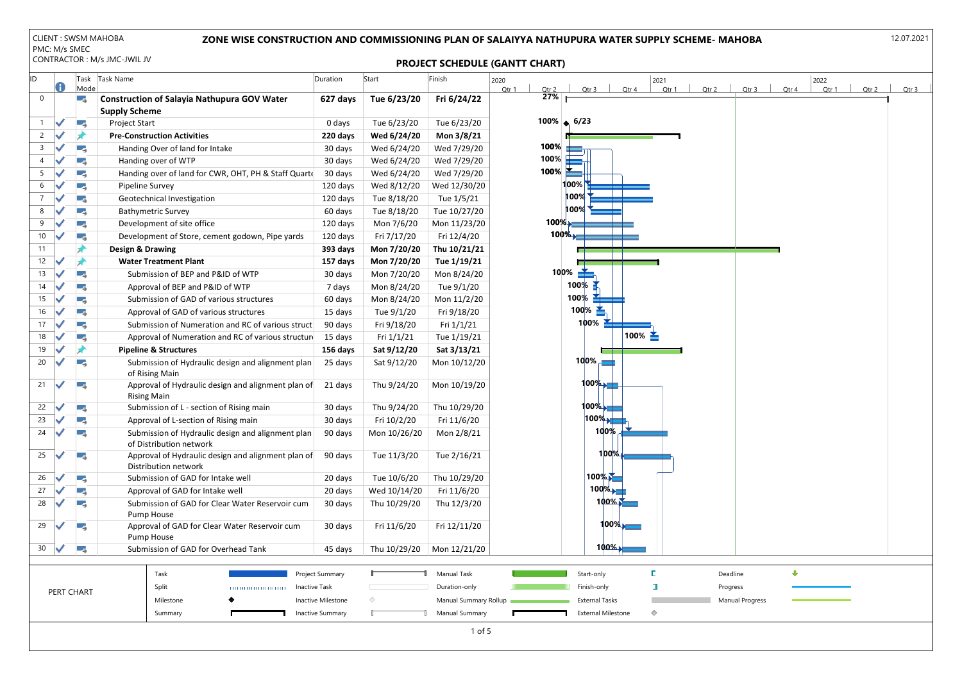| ID             |              | Task<br>Mode | Task Name                                                                    | Duration                | Start        | Finish                | 2022<br>2020<br>2021<br>Qtr 1<br>Qtr 2<br>Qtr 4<br>Qtr 2<br>Qtr 4<br>Qtr 1<br>Qtr 2<br>Qtr 3<br>Qtr 1<br>Qtr 3 | Qtr <sub>3</sub> |
|----------------|--------------|--------------|------------------------------------------------------------------------------|-------------------------|--------------|-----------------------|----------------------------------------------------------------------------------------------------------------|------------------|
| 0              |              | L.           | <b>Construction of Salayia Nathupura GOV Water</b><br><b>Supply Scheme</b>   | 627 days                | Tue 6/23/20  | Fri 6/24/22           | 27%                                                                                                            |                  |
| 1              |              | Œ,           | Project Start                                                                | 0 days                  | Tue 6/23/20  | Tue 6/23/20           | $100\% \div 6/23$                                                                                              |                  |
| $\overline{2}$ |              |              | <b>Pre-Construction Activities</b>                                           | 220 days                | Wed 6/24/20  | Mon 3/8/21            |                                                                                                                |                  |
| 3              |              |              | Handing Over of land for Intake                                              | 30 days                 | Wed 6/24/20  | Wed 7/29/20           | 100%                                                                                                           |                  |
|                |              | -5           | Handing over of WTP                                                          | 30 days                 | Wed 6/24/20  | Wed 7/29/20           | $100\%$                                                                                                        |                  |
|                |              | u,           | Handing over of land for CWR, OHT, PH & Staff Quarte                         | 30 days                 | Wed 6/24/20  | Wed 7/29/20           | 100%                                                                                                           |                  |
| 6              |              | Œ.           | Pipeline Survey                                                              | 120 days                | Wed 8/12/20  | Wed 12/30/20          | $ 100\% $                                                                                                      |                  |
|                |              | u,           | Geotechnical Investigation                                                   | 120 days                | Tue 8/18/20  | Tue 1/5/21            | 100%                                                                                                           |                  |
| 8              |              | -3           | <b>Bathymetric Survey</b>                                                    | 60 days                 | Tue 8/18/20  | Tue 10/27/20          | 100%                                                                                                           |                  |
| 9              |              | Œ.           | Development of site office                                                   | 120 days                | Mon 7/6/20   | Mon 11/23/20          | $100\%$                                                                                                        |                  |
| 10             |              | u,           | Development of Store, cement godown, Pipe yards                              | 120 days                | Fri 7/17/20  | Fri 12/4/20           | $100\%$                                                                                                        |                  |
| 11             |              |              | <b>Design &amp; Drawing</b>                                                  | 393 days                | Mon 7/20/20  | Thu 10/21/21          |                                                                                                                |                  |
| 12             |              |              | <b>Water Treatment Plant</b>                                                 | 157 days                | Mon 7/20/20  | Tue 1/19/21           |                                                                                                                |                  |
| 13             |              | ۳.,          | Submission of BEP and P&ID of WTP                                            | 30 days                 | Mon 7/20/20  | Mon 8/24/20           | 100%                                                                                                           |                  |
| 14             |              | L.           | Approval of BEP and P&ID of WTP                                              | 7 days                  | Mon 8/24/20  | Tue 9/1/20            | 100%                                                                                                           |                  |
| 15             |              | u,           | Submission of GAD of various structures                                      | 60 days                 | Mon 8/24/20  | Mon 11/2/20           | 100%                                                                                                           |                  |
| 16             |              | ہی ا         | Approval of GAD of various structures                                        | 15 days                 | Tue 9/1/20   | Fri 9/18/20           | 100 $\%$ $\geq$                                                                                                |                  |
| 17             |              | L.           | Submission of Numeration and RC of various struct                            | 90 days                 | Fri 9/18/20  | Fri $1/1/21$          | 100%                                                                                                           |                  |
| 18             |              | u,           | Approval of Numeration and RC of various structure                           | 15 days                 | Fri $1/1/21$ | Tue 1/19/21           | $100\%$ $\geq$                                                                                                 |                  |
| 19             |              |              | <b>Pipeline &amp; Structures</b>                                             | 156 days                | Sat 9/12/20  | Sat 3/13/21           |                                                                                                                |                  |
| 20             |              | Œ.           | Submission of Hydraulic design and alignment plan<br>of Rising Main          | 25 days                 | Sat 9/12/20  | Mon 10/12/20          | 100%                                                                                                           |                  |
| 21             |              | ۳.,          | Approval of Hydraulic design and alignment plan of<br><b>Rising Main</b>     | 21 days                 | Thu 9/24/20  | Mon 10/19/20          | $100\%$                                                                                                        |                  |
| 22             |              | ۳.,          | Submission of L - section of Rising main                                     | 30 days                 | Thu 9/24/20  | Thu 10/29/20          | 100%                                                                                                           |                  |
| 23             |              | v,           | Approval of L-section of Rising main                                         | 30 days                 | Fri 10/2/20  | Fri 11/6/20           | 100%                                                                                                           |                  |
| 24             |              |              | Submission of Hydraulic design and alignment plan<br>of Distribution network | 90 days                 | Mon 10/26/20 | Mon 2/8/21            | 100%                                                                                                           |                  |
| 25             | $\checkmark$ | Œ,           | Approval of Hydraulic design and alignment plan of<br>Distribution network   | 90 days                 | Tue 11/3/20  | Tue 2/16/21           | $100\%$                                                                                                        |                  |
| 26             |              | Œ,           | Submission of GAD for Intake well                                            | 20 days                 | Tue 10/6/20  | Thu 10/29/20          | 100%                                                                                                           |                  |
| 27             |              | L.           | Approval of GAD for Intake well                                              | 20 days                 | Wed 10/14/20 | Fri 11/6/20           | $100\%$                                                                                                        |                  |
| 28             |              | Г.           | Submission of GAD for Clear Water Reservoir cum<br>Pump House                | 30 days                 | Thu 10/29/20 | Thu 12/3/20           | $100\%$                                                                                                        |                  |
| 29             |              | Œ,           | Approval of GAD for Clear Water Reservoir cum<br>Pump House                  | 30 days                 | Fri 11/6/20  | Fri 12/11/20          | $100\%$                                                                                                        |                  |
| 30             |              | Œ,           | Submission of GAD for Overhead Tank                                          | 45 days                 | Thu 10/29/20 | Mon 12/21/20          | $100\%$                                                                                                        |                  |
|                |              |              | Task                                                                         | Project Summary         |              | Manual Task           | ⊕<br>Start-only<br>Deadline                                                                                    |                  |
|                |              | PERT CHART   | Split                                                                        | <b>Inactive Task</b>    |              | Duration-only         | $\Box$<br>Finish-only<br>Progress                                                                              |                  |
|                |              |              | Milestone                                                                    | Inactive Milestone      |              | Manual Summary Rollup | <b>Manual Progress</b><br><b>External Tasks</b>                                                                |                  |
|                |              |              | Summary                                                                      | <b>Inactive Summary</b> |              | Manual Summary        | <b>External Milestone</b><br>$\Diamond$                                                                        |                  |
|                |              |              |                                                                              |                         |              | $1$ of 5              |                                                                                                                |                  |

|                      | Qtr 3 Qtr 4     |  |   | 2022  |       |                  |
|----------------------|-----------------|--|---|-------|-------|------------------|
|                      |                 |  |   | Qtr 1 | Qtr 2 | Qtr <sub>3</sub> |
|                      |                 |  |   |       |       |                  |
|                      |                 |  |   |       |       |                  |
|                      |                 |  |   |       |       |                  |
|                      |                 |  |   |       |       |                  |
|                      |                 |  |   |       |       |                  |
|                      |                 |  |   |       |       |                  |
|                      |                 |  |   |       |       |                  |
|                      |                 |  |   |       |       |                  |
|                      |                 |  |   |       |       |                  |
|                      |                 |  |   |       |       |                  |
|                      |                 |  |   |       |       |                  |
|                      |                 |  |   |       |       |                  |
|                      |                 |  |   |       |       |                  |
|                      |                 |  |   |       |       |                  |
|                      |                 |  |   |       |       |                  |
|                      |                 |  |   |       |       |                  |
|                      |                 |  |   |       |       |                  |
|                      |                 |  |   |       |       |                  |
|                      |                 |  |   |       |       |                  |
|                      |                 |  |   |       |       |                  |
|                      |                 |  |   |       |       |                  |
| Deadline<br>Progress |                 |  | ⊕ |       |       |                  |
|                      | Manual Progress |  |   |       |       |                  |
|                      |                 |  |   |       |       |                  |
|                      |                 |  |   |       |       |                  |

# PROJECT SCHEDULE (GANTT CHART)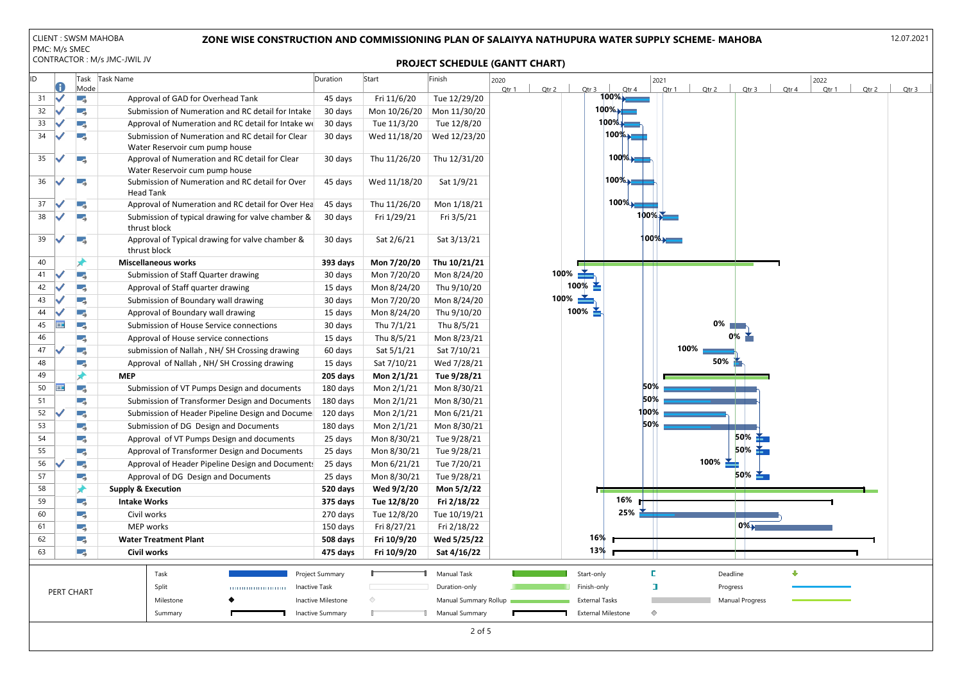

### ZONE WISE CONSTRUCTION AND COMMISSIONING PLAN OF SALAIYYA NATHUPURA WATER SUPPLY SCHEME- MAHOBA

#### PROJECT SCHEDULE (GANTT CHART)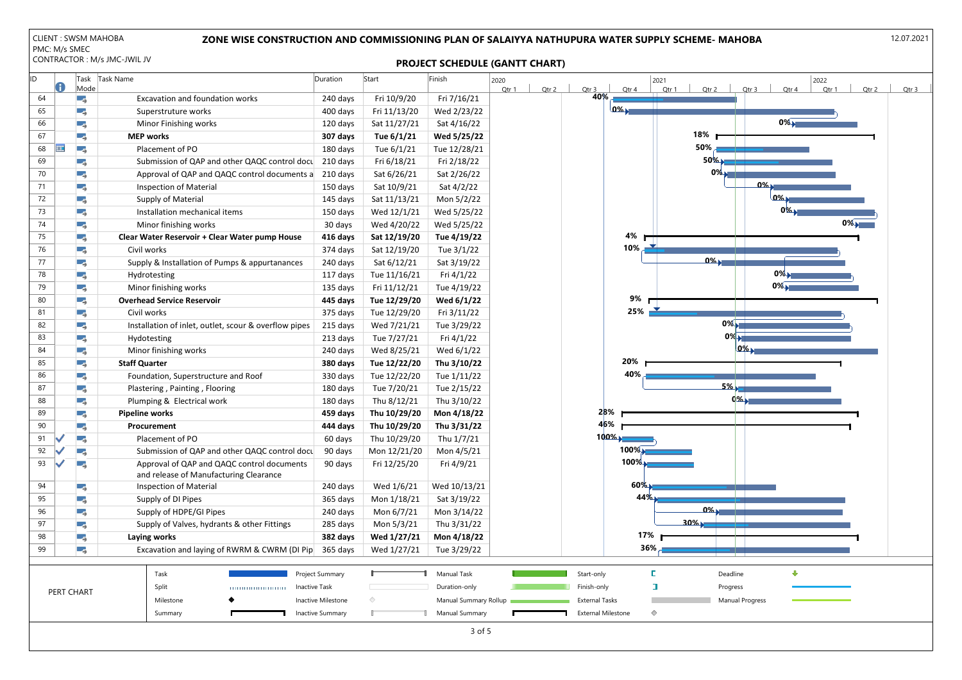| ID |     |              | Task       | Task Name                                             | Duration                | Start        | Finish                | 2020           |                       |                           | 2021    |                        |                | 2022  |                |
|----|-----|--------------|------------|-------------------------------------------------------|-------------------------|--------------|-----------------------|----------------|-----------------------|---------------------------|---------|------------------------|----------------|-------|----------------|
|    |     |              | Mode       |                                                       |                         |              |                       | Qtr 1<br>Qtr 2 | Qtr 3                 | Qtr 4<br>40%              |         | Qtr 1<br>Qtr 2         | Qtr 3<br>Qtr 4 | Qtr 1 | Qtr 2<br>Qtr 3 |
|    | 64  |              | LБ,        | Excavation and foundation works                       | 240 days                | Fri 10/9/20  | Fri 7/16/21           |                |                       | 0%                        |         |                        |                |       |                |
|    | 65  |              | - 5        | Superstruture works                                   | 400 days                | Fri 11/13/20 | Wed 2/23/22           |                |                       |                           |         |                        | $0\%$          |       |                |
|    | 66  |              | ۳,         | Minor Finishing works                                 | 120 days                | Sat 11/27/21 | Sat 4/16/22           |                |                       |                           |         | 18%                    |                |       |                |
|    | 67  |              | - 5        | <b>MEP works</b>                                      | 307 days                | Tue 6/1/21   | Wed 5/25/22           |                |                       |                           |         | $50\%$                 |                |       |                |
|    | 68  | ;            | LБ,        | Placement of PO                                       | 180 days                | Tue 6/1/21   | Tue 12/28/21          |                |                       |                           |         |                        |                |       |                |
|    | 69  |              | Г.         | Submission of QAP and other QAQC control docu         | 210 days                | Fri 6/18/21  | Fri 2/18/22           |                |                       |                           |         | $50\%$                 |                |       |                |
|    | 70  |              | LБ,        | Approval of QAP and QAQC control documents a          | 210 days                | Sat 6/26/21  | Sat 2/26/22           |                |                       |                           |         | $0\%$                  |                |       |                |
|    | 71  |              | ۳.,        | <b>Inspection of Material</b>                         | 150 days                | Sat 10/9/21  | Sat 4/2/22            |                |                       |                           |         |                        | $0\%$          |       |                |
|    | 72  |              | τş,        | Supply of Material                                    | 145 days                | Sat 11/13/21 | Mon 5/2/22            |                |                       |                           |         |                        | 0%             |       |                |
|    | 73  |              | - 5        | Installation mechanical items                         | 150 days                | Wed 12/1/21  | Wed 5/25/22           |                |                       |                           |         |                        | $0\%$          |       |                |
|    | 74  |              | Πą,        | Minor finishing works                                 | 30 days                 | Wed 4/20/22  | Wed 5/25/22           |                |                       |                           |         |                        |                | $0\%$ |                |
|    | 75  |              | - 5        | Clear Water Reservoir + Clear Water pump House        | 416 days                | Sat 12/19/20 | Tue 4/19/22           |                |                       |                           | 4%      |                        |                |       |                |
|    | 76  |              | ۳,         | Civil works                                           | 374 days                | Sat 12/19/20 | Tue 3/1/22            |                |                       |                           | 10%     |                        |                |       |                |
|    | 77  |              | - 5        | Supply & Installation of Pumps & appurtanances        | 240 days                | Sat 6/12/21  | Sat 3/19/22           |                |                       |                           |         | $0\%$                  |                |       |                |
|    | 78  |              | LБ,        | Hydrotesting                                          | 117 days                | Tue 11/16/21 | Fri 4/1/22            |                |                       |                           |         |                        | $0\%$          |       |                |
|    | 79  |              | Ξ,         | Minor finishing works                                 | 135 days                | Fri 11/12/21 | Tue 4/19/22           |                |                       |                           |         |                        | $0\%$          |       |                |
|    | 80  |              | LБ,        | <b>Overhead Service Reservoir</b>                     | 445 days                | Tue 12/29/20 | Wed 6/1/22            |                |                       |                           | 9%      |                        |                |       |                |
|    | 81  |              | - 5        | Civil works                                           | 375 days                | Tue 12/29/20 | Fri 3/11/22           |                |                       |                           | 25%     |                        |                |       |                |
|    | 82  |              | ۳.,        | Installation of inlet, outlet, scour & overflow pipes | 215 days                | Wed 7/21/21  | Tue 3/29/22           |                |                       |                           |         | $0\%$                  |                |       |                |
|    | 83  |              | - 5        | Hydotesting                                           | 213 days                | Tue 7/27/21  | Fri 4/1/22            |                |                       |                           |         | $0\%$                  |                |       |                |
|    | 84  |              | Πą,        | Minor finishing works                                 | 240 days                | Wed 8/25/21  | Wed 6/1/22            |                |                       |                           |         |                        | 0%             |       |                |
|    | 85  |              | - 5        | <b>Staff Quarter</b>                                  | 380 days                | Tue 12/22/20 | Thu 3/10/22           |                |                       | 20%                       |         |                        |                |       |                |
|    | 86  |              | - 5        | Foundation, Superstructure and Roof                   | 330 days                | Tue 12/22/20 | Tue 1/11/22           |                |                       |                           | 40%     |                        |                |       |                |
|    | 87  |              | ۳.,        | Plastering, Painting, Flooring                        | 180 days                | Tue 7/20/21  | Tue 2/15/22           |                |                       |                           |         | 5%                     |                |       |                |
|    | 88  |              | LБ,        | Plumping & Electrical work                            | 180 days                | Thu 8/12/21  | Thu 3/10/22           |                |                       |                           |         | $0\%$                  |                |       |                |
|    | 89  |              | - 5        | <b>Pipeline works</b>                                 | 459 days                | Thu 10/29/20 | Mon 4/18/22           |                |                       | 28%                       |         |                        |                |       |                |
|    | 90  |              | -5         | Procurement                                           | 444 days                | Thu 10/29/20 | Thu 3/31/22           |                |                       | 46%                       |         |                        |                |       |                |
|    | -91 | $\checkmark$ |            | Placement of PO                                       | 60 days                 | Thu 10/29/20 | Thu 1/7/21            |                |                       | $100\%$                   |         |                        |                |       |                |
|    | 92  |              | -3         | Submission of QAP and other QAQC control docu         | 90 days                 | Mon 12/21/20 | Mon 4/5/21            |                |                       |                           | $100\%$ |                        |                |       |                |
|    | 93  |              | - 5        | Approval of QAP and QAQC control documents            | 90 days                 | Fri 12/25/20 | Fri 4/9/21            |                |                       |                           | $100\%$ |                        |                |       |                |
|    |     |              |            | and release of Manufacturing Clearance                |                         |              |                       |                |                       |                           |         |                        |                |       |                |
|    | 94  |              | Ξ,         | <b>Inspection of Material</b>                         | 240 days                | Wed 1/6/21   | Wed 10/13/21          |                |                       |                           | $60\%$  |                        |                |       |                |
|    | 95  |              | Ξ,         | Supply of DI Pipes                                    | 365 days                | Mon 1/18/21  | Sat 3/19/22           |                |                       |                           | 44%     |                        |                |       |                |
|    | 96  |              | -5         | Supply of HDPE/GI Pipes                               | 240 days                | Mon 6/7/21   | Mon 3/14/22           |                |                       |                           |         | $0\%$                  |                |       |                |
|    | 97  |              | - 5        | Supply of Valves, hydrants & other Fittings           | 285 days                | Mon 5/3/21   | Thu 3/31/22           |                |                       |                           |         | $30\%$                 |                |       |                |
|    | 98  |              | -5         | Laying works                                          | 382 days                | Wed 1/27/21  | Mon 4/18/22           |                |                       |                           | 17%     |                        |                |       |                |
|    | 99  |              | - 5        | Excavation and laying of RWRM & CWRM (DI Pip          | 365 days                | Wed 1/27/21  | Tue 3/29/22           |                |                       |                           | 36%     |                        |                |       |                |
|    |     |              |            |                                                       |                         |              |                       |                |                       |                           |         |                        |                |       |                |
|    |     |              |            | Task                                                  | Project Summary         |              | Manual Task           |                | Start-only            |                           | E       | Deadline               | ⊕              |       |                |
|    |     |              |            | Split                                                 | <b>Inactive Task</b>    |              | Duration-only         |                | Finish-only           |                           | $\Box$  | Progress               |                |       |                |
|    |     |              | PERT CHART | Milestone                                             | Inactive Milestone      |              | Manual Summary Rollup |                | <b>External Tasks</b> |                           |         | <b>Manual Progress</b> |                |       |                |
|    |     |              |            | Summary                                               | <b>Inactive Summary</b> |              | <b>Manual Summary</b> |                |                       | <b>External Milestone</b> | ♦       |                        |                |       |                |
|    |     |              |            |                                                       |                         |              |                       |                |                       |                           |         |                        |                |       |                |
|    |     |              |            |                                                       |                         |              | $3$ of 5              |                |                       |                           |         |                        |                |       |                |



## ZONE WISE CONSTRUCTION AND COMMISSIONING PLAN OF SALAIYYA NATHUPURA WATER SUPPLY SCHEME- MAHOBA

PROJECT SCHEDULE (GANTT CHART)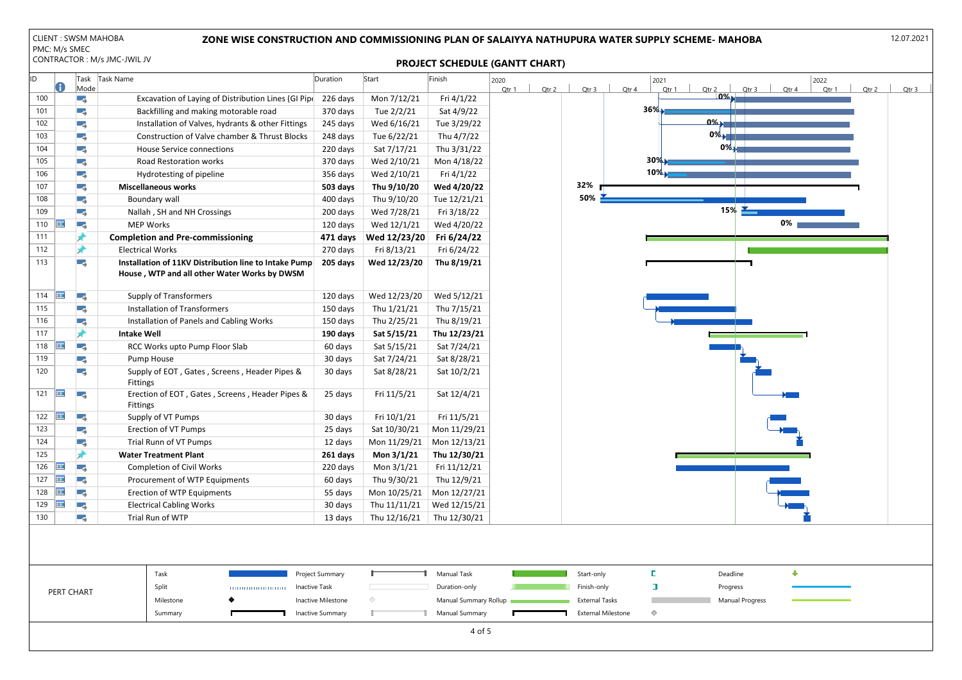| ID. |             | Mode | Task Task Name                                                                                        | Duration | Start        | Finish       | 2020<br>2022<br>2021<br>Qtr 2<br>Qtr 1<br>Qtr 2<br>Qtr 3<br>Qtr 1<br>Qtr 3<br>Qtr 4<br>Qtr 1<br>Qtr 2<br>Qtr 4 | Qtr 3 |
|-----|-------------|------|-------------------------------------------------------------------------------------------------------|----------|--------------|--------------|----------------------------------------------------------------------------------------------------------------|-------|
| 100 |             | -5   | Excavation of Laying of Distribution Lines (GI Pipe                                                   | 226 days | Mon 7/12/21  | Fri 4/1/22   | $0\%$                                                                                                          |       |
| 101 |             | - 5  | Backfilling and making motorable road                                                                 | 370 days | Tue 2/2/21   | Sat 4/9/22   | $36\%$                                                                                                         |       |
| 102 |             | ۰,   | Installation of Valves, hydrants & other Fittings                                                     | 245 days | Wed 6/16/21  | Tue 3/29/22  | $0\%$                                                                                                          |       |
| 103 |             | υş.  | Construction of Valve chamber & Thrust Blocks                                                         | 248 days | Tue 6/22/21  | Thu 4/7/22   | $0\%$                                                                                                          |       |
| 104 |             | Ε,   | <b>House Service connections</b>                                                                      | 220 days | Sat 7/17/21  | Thu 3/31/22  | $0\%$                                                                                                          |       |
| 105 |             | г.,  | Road Restoration works                                                                                | 370 days | Wed 2/10/21  | Mon 4/18/22  | 30%                                                                                                            |       |
| 106 |             | Ε,   | Hydrotesting of pipeline                                                                              | 356 days | Wed 2/10/21  | Fri 4/1/22   | 10%                                                                                                            |       |
| 107 |             | -5   | <b>Miscellaneous works</b>                                                                            | 503 days | Thu 9/10/20  | Wed 4/20/22  | 32%                                                                                                            |       |
| 108 |             | Ε,   | <b>Boundary wall</b>                                                                                  | 400 days | Thu 9/10/20  | Tue 12/21/21 | 50%                                                                                                            |       |
| 109 |             | - 5  | Nallah, SH and NH Crossings                                                                           | 200 days | Wed 7/28/21  | Fri 3/18/22  | 15%                                                                                                            |       |
| 110 | ĦĦ          | -3   | <b>MEP Works</b>                                                                                      | 120 days | Wed 12/1/21  | Wed 4/20/22  | 0%                                                                                                             |       |
| 111 |             |      | <b>Completion and Pre-commissioning</b>                                                               | 471 days | Wed 12/23/20 | Fri 6/24/22  |                                                                                                                |       |
| 112 |             |      | <b>Electrical Works</b>                                                                               | 270 days | Fri 8/13/21  | Fri 6/24/22  |                                                                                                                |       |
| 113 |             | - 5  | Installation of 11KV Distribution line to Intake Pump<br>House, WTP and all other Water Works by DWSM | 205 days | Wed 12/23/20 | Thu 8/19/21  |                                                                                                                |       |
| 114 | <b>HIE</b>  | τ,   | <b>Supply of Transformers</b>                                                                         | 120 days | Wed 12/23/20 | Wed 5/12/21  |                                                                                                                |       |
| 115 |             | -5   | <b>Installation of Transformers</b>                                                                   | 150 days | Thu 1/21/21  | Thu 7/15/21  |                                                                                                                |       |
| 116 |             | ٣Ş.  | Installation of Panels and Cabling Works                                                              | 150 days | Thu 2/25/21  | Thu 8/19/21  |                                                                                                                |       |
| 117 |             | ж    | <b>Intake Well</b>                                                                                    | 190 days | Sat 5/15/21  | Thu 12/23/21 |                                                                                                                |       |
| 118 | ₩           | Шş.  | RCC Works upto Pump Floor Slab                                                                        | 60 days  | Sat 5/15/21  | Sat 7/24/21  |                                                                                                                |       |
| 119 |             | 5    | Pump House                                                                                            | 30 days  | Sat 7/24/21  | Sat 8/28/21  |                                                                                                                |       |
| 120 |             | - 5  | Supply of EOT, Gates, Screens, Header Pipes &<br><b>Fittings</b>                                      | 30 days  | Sat 8/28/21  | Sat 10/2/21  |                                                                                                                |       |
| 121 | <b>FILE</b> | Гą.  | Erection of EOT, Gates, Screens, Header Pipes &<br>Fittings                                           | 25 days  | Fri 11/5/21  | Sat 12/4/21  |                                                                                                                |       |
| 122 | ĦĦ          | Г.   | Supply of VT Pumps                                                                                    | 30 days  | Fri 10/1/21  | Fri 11/5/21  |                                                                                                                |       |
| 123 |             | ۳Ş.  | <b>Erection of VT Pumps</b>                                                                           | 25 days  | Sat 10/30/21 | Mon 11/29/21 |                                                                                                                |       |
| 124 |             | Ε,   | Trial Runn of VT Pumps                                                                                | 12 days  | Mon 11/29/21 | Mon 12/13/21 |                                                                                                                |       |
| 125 |             |      | <b>Water Treatment Plant</b>                                                                          | 261 days | Mon 3/1/21   | Thu 12/30/21 |                                                                                                                |       |
| 126 | <b>HIE</b>  | v.   | <b>Completion of Civil Works</b>                                                                      | 220 days | Mon $3/1/21$ | Fri 11/12/21 |                                                                                                                |       |
| 127 | m           | υş,  | Procurement of WTP Equipments                                                                         | 60 days  | Thu 9/30/21  | Thu 12/9/21  |                                                                                                                |       |
| 128 | Ħ           | Ξş,  | Erection of WTP Equipments                                                                            | 55 days  | Mon 10/25/21 | Mon 12/27/21 |                                                                                                                |       |
| 129 | ĦĦ          | Шş.  | <b>Electrical Cabling Works</b>                                                                       | 30 days  | Thu 11/11/21 | Wed 12/15/21 |                                                                                                                |       |
| 130 |             | -5   | Trial Run of WTP                                                                                      | 13 days  | Thu 12/16/21 | Thu 12/30/21 |                                                                                                                |       |
|     |             |      |                                                                                                       |          |              |              |                                                                                                                |       |



|  |            | Task      | Project Summary    |  | Manual Task           | Start-only                | Dea  |
|--|------------|-----------|--------------------|--|-----------------------|---------------------------|------|
|  | PERT CHART | Split     | <br>Inactive Task  |  | Duration-only         | Finish-only               | Proc |
|  |            | Milestone | Inactive Milestone |  | Manual Summary Rollup | External Tasks            | Man  |
|  |            | Summary   | Inactive Summary   |  | <b>Manual Summary</b> | <b>External Milestone</b> |      |
|  |            |           |                    |  |                       |                           |      |

### ZONE WISE CONSTRUCTION AND COMMISSIONING PLAN OF SALAIYYA NATHUPURA WATER SUPPLY SCHEME- MAHOBA

# PROJECT SCHEDULE (GANTT CHART)

12.07.2021

4 of 5